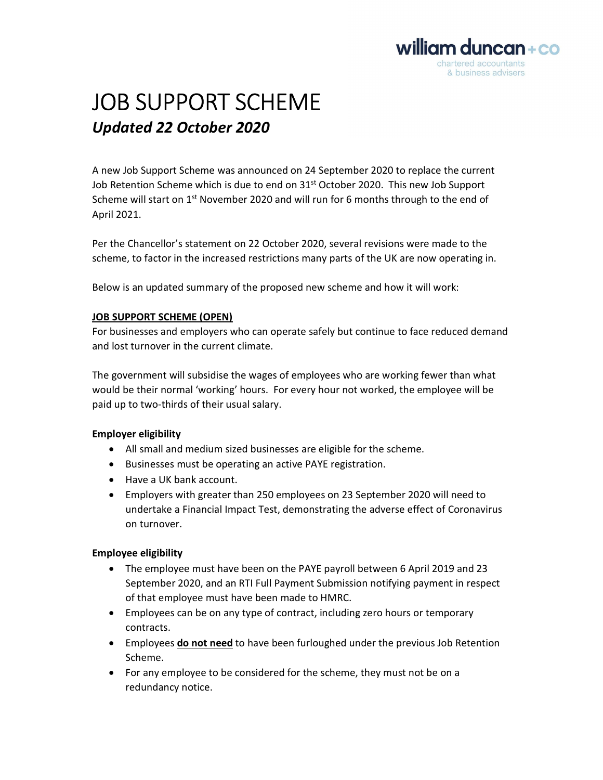

# JOB SUPPORT SCHEME Updated 22 October 2020

A new Job Support Scheme was announced on 24 September 2020 to replace the current Job Retention Scheme which is due to end on  $31^{st}$  October 2020. This new Job Support Scheme will start on  $1<sup>st</sup>$  November 2020 and will run for 6 months through to the end of April 2021.

Per the Chancellor's statement on 22 October 2020, several revisions were made to the scheme, to factor in the increased restrictions many parts of the UK are now operating in.

Below is an updated summary of the proposed new scheme and how it will work:

### JOB SUPPORT SCHEME (OPEN)

For businesses and employers who can operate safely but continue to face reduced demand and lost turnover in the current climate.

The government will subsidise the wages of employees who are working fewer than what would be their normal 'working' hours. For every hour not worked, the employee will be paid up to two-thirds of their usual salary.

## Employer eligibility

- All small and medium sized businesses are eligible for the scheme.
- Businesses must be operating an active PAYE registration.
- Have a UK bank account.
- Employers with greater than 250 employees on 23 September 2020 will need to undertake a Financial Impact Test, demonstrating the adverse effect of Coronavirus on turnover.

#### Employee eligibility

- The employee must have been on the PAYE payroll between 6 April 2019 and 23 September 2020, and an RTI Full Payment Submission notifying payment in respect of that employee must have been made to HMRC.
- Employees can be on any type of contract, including zero hours or temporary contracts.
- **Employees do not need to have been furloughed under the previous Job Retention** Scheme.
- For any employee to be considered for the scheme, they must not be on a redundancy notice.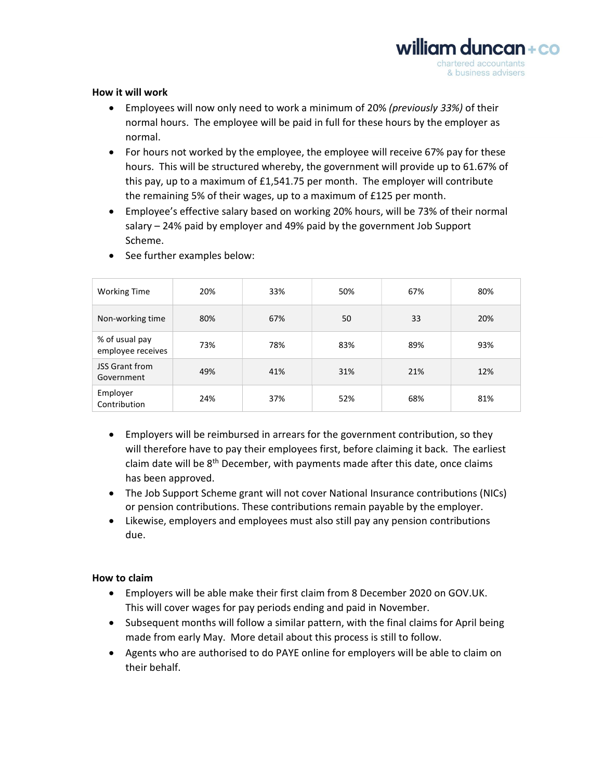

#### How it will work

- Employees will now only need to work a minimum of 20% (previously 33%) of their normal hours. The employee will be paid in full for these hours by the employer as normal.
- For hours not worked by the employee, the employee will receive 67% pay for these hours. This will be structured whereby, the government will provide up to 61.67% of this pay, up to a maximum of £1,541.75 per month. The employer will contribute the remaining 5% of their wages, up to a maximum of £125 per month.
- Employee's effective salary based on working 20% hours, will be 73% of their normal salary – 24% paid by employer and 49% paid by the government Job Support Scheme.

| <b>Working Time</b>                 | 20% | 33% | 50% | 67% | 80% |
|-------------------------------------|-----|-----|-----|-----|-----|
| Non-working time                    | 80% | 67% | 50  | 33  | 20% |
| % of usual pay<br>employee receives | 73% | 78% | 83% | 89% | 93% |
| <b>JSS Grant from</b><br>Government | 49% | 41% | 31% | 21% | 12% |
| Employer<br>Contribution            | 24% | 37% | 52% | 68% | 81% |

• See further examples below:

- Employers will be reimbursed in arrears for the government contribution, so they will therefore have to pay their employees first, before claiming it back. The earliest claim date will be  $8<sup>th</sup>$  December, with payments made after this date, once claims has been approved.
- The Job Support Scheme grant will not cover National Insurance contributions (NICs) or pension contributions. These contributions remain payable by the employer.
- Likewise, employers and employees must also still pay any pension contributions due.

#### How to claim

- Employers will be able make their first claim from 8 December 2020 on GOV.UK. This will cover wages for pay periods ending and paid in November.
- Subsequent months will follow a similar pattern, with the final claims for April being made from early May. More detail about this process is still to follow.
- Agents who are authorised to do PAYE online for employers will be able to claim on their behalf.